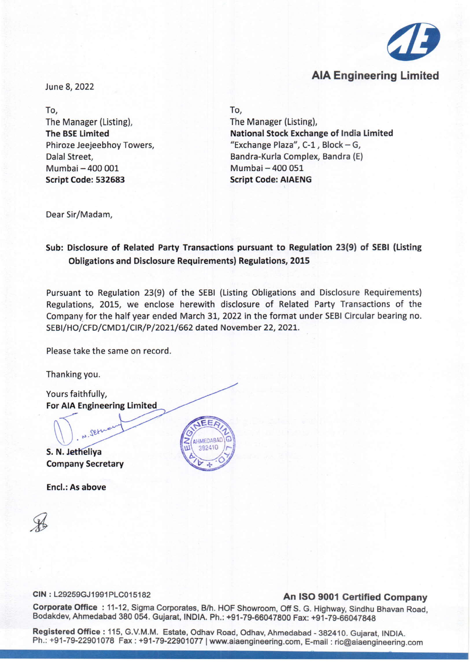

# AlA Engineering Limited

June 8,2022

To, The Manager (Listing), The BSELimited Phiroze Jeejeebhoy Towers, Dalal Street, Mumbai - 400 001 Script Code: 532683

To,

The Manager (Listing), National Stock Exchange of India Limited "Exchange Plaza",  $C-1$ , Block - G, Bandra-Kurla Complex, Bandra (E) Mumbai - 400 051 Script Code: AIAENG

Dear Sir/Madam,

### Sub: Disclosure of Related Party Transactions pursuant to Regulation 23(9) of SEBI (Listing Obligations and Disclosure Requirements) Regulations, 2015

Pursuant to Regulation 23(9) of the SEBI (Listing Obligations and Disclosure Requirements) Regulations, 2015, we enclose herewith disclosure of Related Party Transactions of the Company for the half year ended March 31, 2022 in the format under SEBI Circular bearing no. SEBI/HO/CFD/CMD1/CIR/P/2021/662 dated November 22,2021.

Please take the same on record.

Thanking you.

Yours faithfully, For AlA Engineering Limited

 $\sqrt{2}$ S. N. Jetheliva Company Secretary

N. Jetu

Encl.: As above

**AFDABAD** 

## CIN : L29259GJ1991PLC015182 An ISO 9001 Certified Company

Corporate Office: 11-12, Sigma Corporates, B/h. HOF Showroom, Off S. G. Highway, Sindhu Bhavan Road, Bodakdev, Ahmedabad 380 054. Gujarat, INDIA. Ph.: +91-79-66047800 Fax: +91-79-66047848

Registered Office: 115, G.V.M.M. Estate, Odhav Road, Odhav, Ahmedabad - 382410. Gujarat, INDIA. Ph.: +91-79-22901078 Fax: +91-79-22901077 | [www.aiaengineering.com,](http://www.aiaengineering.com,) E-mail: [ric@aiaengineering.com](mailto:ric@aiaengineering.com)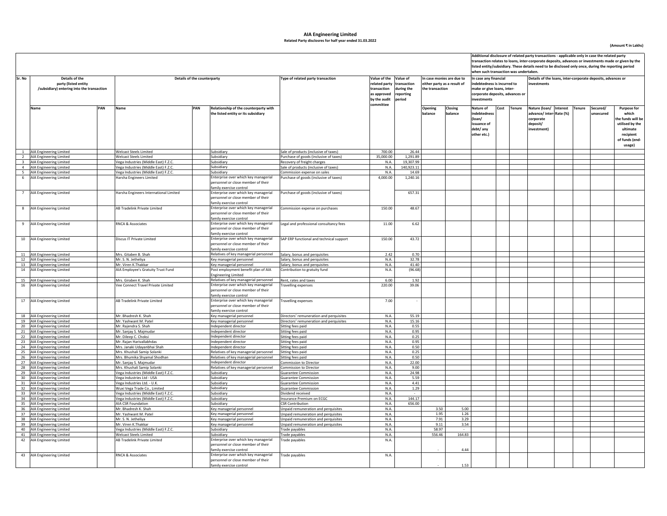### **AIA Engineering Limited Related Party disclosres for half year ended 31.03.2022**

**(Amount ₹ in Lakhs)**

|        |                                                                                        |     |                                                                              |     |                                                                                                                                                                                        |                                                                                    |                                                                                                   |                                                  |                                                                             | when such transaction was undertaken. |                                                                                                                                      |  |             |                                                                                         | Additional disclosure of related party transactions - applicable only in case the related party<br>transaction relates to loans, inter-corporate deposits, advances or investments made or given by the<br>listed entity/subsidiary. These details need to be disclosed only once, during the reporting period<br>Secured/<br><b>Purpose for</b><br>which<br>nsecured<br>the funds will be<br>utilised by the<br>ultimate<br>recipient<br>of funds (end-<br>usage) |  |  |  |  |  |  |
|--------|----------------------------------------------------------------------------------------|-----|------------------------------------------------------------------------------|-----|----------------------------------------------------------------------------------------------------------------------------------------------------------------------------------------|------------------------------------------------------------------------------------|---------------------------------------------------------------------------------------------------|--------------------------------------------------|-----------------------------------------------------------------------------|---------------------------------------|--------------------------------------------------------------------------------------------------------------------------------------|--|-------------|-----------------------------------------------------------------------------------------|--------------------------------------------------------------------------------------------------------------------------------------------------------------------------------------------------------------------------------------------------------------------------------------------------------------------------------------------------------------------------------------------------------------------------------------------------------------------|--|--|--|--|--|--|
| Sr. No | Details of the<br>party (listed entity<br>/subsidiary) entering into the transaction   |     | Details of the counterparty                                                  |     |                                                                                                                                                                                        | Type of related party transaction                                                  | Value of the Value of<br>related party<br>transaction<br>as approved<br>by the audit<br>committee | transaction<br>during the<br>reporting<br>period | In case monies are due to<br>either party as a result of<br>the transaction |                                       | In case any financial<br>indebtedness is incurred to<br>make or give loans, inter-<br>corporate deposits, advances or<br>investments |  |             | Details of the loans, inter-corporate deposits, advances or<br>investments              |                                                                                                                                                                                                                                                                                                                                                                                                                                                                    |  |  |  |  |  |  |
|        | Name                                                                                   | PAN | Name                                                                         | PAN | Relationship of the counterparty with<br>the listed entity or its subsidiary                                                                                                           |                                                                                    |                                                                                                   |                                                  | Opening<br>balance                                                          | Closing<br>balance                    | Nature of<br>indebtednes<br>(loan/<br>issuance of<br>debt/ any<br>other etc.)                                                        |  | Cost Tenure | Nature (loan/ Interest<br>advance/inter-Rate (%)<br>corporate<br>deposit/<br>investment | Tenure                                                                                                                                                                                                                                                                                                                                                                                                                                                             |  |  |  |  |  |  |
| 1      | AIA Engineering Limited                                                                |     | <b>Welcast Steels Limited</b>                                                |     | Subsidiary                                                                                                                                                                             | Sale of products (inclusive of taxes)                                              | 700.00                                                                                            | 26.44                                            |                                                                             |                                       |                                                                                                                                      |  |             |                                                                                         |                                                                                                                                                                                                                                                                                                                                                                                                                                                                    |  |  |  |  |  |  |
|        | 2 AIA Engineering Limited<br>3 AIA Engineering Limited                                 |     | Welcast Steels Limited<br>Vega Industries (Middle East) F.Z.C.               |     | Subsidiary<br>Subsidiary                                                                                                                                                               | Purchase of goods (inclusive of taxes)                                             | 35,000.00<br>N.A.                                                                                 | 1,291.89<br>19,307.99                            |                                                                             |                                       |                                                                                                                                      |  |             |                                                                                         |                                                                                                                                                                                                                                                                                                                                                                                                                                                                    |  |  |  |  |  |  |
|        | 4 AIA Engineering Limited                                                              |     | Vega Industries (Middle East) F.Z.C.                                         |     | Subsidiary                                                                                                                                                                             | Recovery of freight charges<br>Sale of products (inclusive of taxes)               | N.A.                                                                                              | 140,923.11                                       |                                                                             |                                       |                                                                                                                                      |  |             |                                                                                         |                                                                                                                                                                                                                                                                                                                                                                                                                                                                    |  |  |  |  |  |  |
|        | AIA Engineering Limited                                                                |     | Vega Industries (Middle East) F.Z.C.                                         |     | Subsidiary                                                                                                                                                                             | Commission expense on sales                                                        | N.A.                                                                                              | 14.69                                            |                                                                             |                                       |                                                                                                                                      |  |             |                                                                                         |                                                                                                                                                                                                                                                                                                                                                                                                                                                                    |  |  |  |  |  |  |
|        | 6 AIA Engineering Limited                                                              |     | Harsha Engineers Limited                                                     |     | Enterprise over which key managerial<br>personnel or close member of their<br>family exercise control                                                                                  | Purchase of goods (inclusive of taxes)                                             | 4,000.00                                                                                          | 1,240.16                                         |                                                                             |                                       |                                                                                                                                      |  |             |                                                                                         |                                                                                                                                                                                                                                                                                                                                                                                                                                                                    |  |  |  |  |  |  |
|        | 7 AIA Engineering Limited                                                              |     | Harsha Engineers International Limited                                       |     | Enterprise over which key managerial<br>personnel or close member of their<br>family exercise control                                                                                  | Purchase of goods (inclusive of taxes)                                             |                                                                                                   | 657.31                                           |                                                                             |                                       |                                                                                                                                      |  |             |                                                                                         |                                                                                                                                                                                                                                                                                                                                                                                                                                                                    |  |  |  |  |  |  |
|        | 8 AIA Engineering Limited                                                              |     | AB Tradelink Private Limited                                                 |     | Enterprise over which key managerial<br>personnel or close member of their<br>family exercise control                                                                                  | Commission expense on purchases                                                    | 150.00                                                                                            | 48.67                                            |                                                                             |                                       |                                                                                                                                      |  |             |                                                                                         |                                                                                                                                                                                                                                                                                                                                                                                                                                                                    |  |  |  |  |  |  |
|        | 9 AIA Engineering Limited                                                              |     | RNCA & Associates                                                            |     | Enterprise over which key managerial<br>personnel or close member of their<br>family exercise control                                                                                  | Legal and professional consultancy fees                                            | 11.00                                                                                             | 6.62                                             |                                                                             |                                       |                                                                                                                                      |  |             |                                                                                         |                                                                                                                                                                                                                                                                                                                                                                                                                                                                    |  |  |  |  |  |  |
|        | 10 AIA Engineering Limited                                                             |     | Discus IT Private Limited                                                    |     | Enterprise over which key managerial<br>personnel or close member of their<br>family exercise control                                                                                  | SAP ERP functional and technical support                                           | 150.00                                                                                            | 43.72                                            |                                                                             |                                       |                                                                                                                                      |  |             |                                                                                         |                                                                                                                                                                                                                                                                                                                                                                                                                                                                    |  |  |  |  |  |  |
|        | 11 AIA Engineering Limited                                                             |     | Mrs. Gitaben B. Shah                                                         |     | Relatives of key managerial personnel                                                                                                                                                  | Salary, bonus and perquisites                                                      | 2.42                                                                                              | 0.70                                             |                                                                             |                                       |                                                                                                                                      |  |             |                                                                                         |                                                                                                                                                                                                                                                                                                                                                                                                                                                                    |  |  |  |  |  |  |
|        | 12 AIA Engineering Limited<br>13 AIA Engineering Limited                               |     | Mr. S. N. Jetheliya<br>Mr. Viren K.Thakkar                                   |     | Key managerial personnel<br>Key managerial personnel                                                                                                                                   | Salary, bonus and perquisites<br>Salary, bonus and perquisites                     | N.A.<br>N.A.                                                                                      | 32.78<br>41.40                                   |                                                                             |                                       |                                                                                                                                      |  |             |                                                                                         |                                                                                                                                                                                                                                                                                                                                                                                                                                                                    |  |  |  |  |  |  |
| 14     | AIA Engineering Limited                                                                |     | AIA Employee's Gratuity Trust Fund<br>Mrs. Giraben K. Shah                   |     | Post employment benefit plan of AIA<br>Ingineering Limited                                                                                                                             | Contribution to gratuity fund<br>Rent, rates and taxes                             | N.A.<br>6.00                                                                                      | (96.68)<br>1.92                                  |                                                                             |                                       |                                                                                                                                      |  |             |                                                                                         |                                                                                                                                                                                                                                                                                                                                                                                                                                                                    |  |  |  |  |  |  |
|        | 15 AIA Engineering Limited<br>16 AIA Engineering Limited<br>17 AIA Engineering Limited |     | Vee Connect Travel Private Limited<br>AB Tradelink Private Limited           |     | Relatives of key managerial personnel<br>Enterprise over which key managerial<br>personnel or close member of their<br>family exercise control<br>Enterprise over which key managerial | ravelling expenses<br>Travelling expenses                                          | 220.00<br>7.00                                                                                    | 39.06                                            |                                                                             |                                       |                                                                                                                                      |  |             |                                                                                         |                                                                                                                                                                                                                                                                                                                                                                                                                                                                    |  |  |  |  |  |  |
|        |                                                                                        |     |                                                                              |     | personnel or close member of their<br>family exercise control                                                                                                                          |                                                                                    |                                                                                                   |                                                  |                                                                             |                                       |                                                                                                                                      |  |             |                                                                                         |                                                                                                                                                                                                                                                                                                                                                                                                                                                                    |  |  |  |  |  |  |
|        | 18 AIA Engineering Limited<br>19 AIA Engineering Limited                               |     | Mr. Bhadresh K. Shah<br>Mr. Yashwant M. Patel                                |     | Key managerial personnel<br>Key managerial personnel                                                                                                                                   | Directors' remuneration and perquisites<br>Directors' remuneration and perquisites | N.A.<br>N.A.                                                                                      | 55.19<br>15.16                                   |                                                                             |                                       |                                                                                                                                      |  |             |                                                                                         |                                                                                                                                                                                                                                                                                                                                                                                                                                                                    |  |  |  |  |  |  |
|        | 20 AIA Engineering Limited                                                             |     | Mr. Rajendra S. Shah                                                         |     | Independent director                                                                                                                                                                   | Sitting fees paid                                                                  | N.A.                                                                                              | 0.55                                             |                                                                             |                                       |                                                                                                                                      |  |             |                                                                                         |                                                                                                                                                                                                                                                                                                                                                                                                                                                                    |  |  |  |  |  |  |
|        | 21 AIA Engineering Limited                                                             |     | Mr. Sanjay S. Majmudar                                                       |     | Independent director                                                                                                                                                                   | Sitting fees paid                                                                  | N.A.                                                                                              | 0.95                                             |                                                                             |                                       |                                                                                                                                      |  |             |                                                                                         |                                                                                                                                                                                                                                                                                                                                                                                                                                                                    |  |  |  |  |  |  |
|        | 22 AIA Engineering Limited                                                             |     | Mr. Dileep C. Choksi                                                         |     | Independent director                                                                                                                                                                   | Sitting fees paid                                                                  | N.A.                                                                                              | 0.25                                             |                                                                             |                                       |                                                                                                                                      |  |             |                                                                                         |                                                                                                                                                                                                                                                                                                                                                                                                                                                                    |  |  |  |  |  |  |
|        | 23 AIA Engineering Limited<br>24 AIA Engineering Limited                               |     | Mr. Rajan Harivallabhdas<br>Mrs. Janaki Udayanbhai Shah                      |     | Independent director<br>Independent director                                                                                                                                           | Sitting fees paid<br>Sitting fees paid                                             | N.A.<br>N.A.                                                                                      | 0.95<br>0.50                                     |                                                                             |                                       |                                                                                                                                      |  |             |                                                                                         |                                                                                                                                                                                                                                                                                                                                                                                                                                                                    |  |  |  |  |  |  |
|        | 25 AIA Engineering Limited                                                             |     | Mrs. Khushali Samip Solanki                                                  |     | Relatives of key managerial personnel                                                                                                                                                  | Sitting fees paid                                                                  | N.A.                                                                                              | 0.25                                             |                                                                             |                                       |                                                                                                                                      |  |             |                                                                                         |                                                                                                                                                                                                                                                                                                                                                                                                                                                                    |  |  |  |  |  |  |
|        | 26 AIA Engineering Limited                                                             |     | Mrs. Bhumika Shyamal Shodhan                                                 |     | Relatives of key managerial personnel                                                                                                                                                  | Sitting fees paid                                                                  | N.A.                                                                                              | 0.50                                             |                                                                             |                                       |                                                                                                                                      |  |             |                                                                                         |                                                                                                                                                                                                                                                                                                                                                                                                                                                                    |  |  |  |  |  |  |
|        | 27 AIA Engineering Limited<br>28 AIA Engineering Limited                               |     | Mr. Sanjay S. Majmudar                                                       |     | Independent director                                                                                                                                                                   | Commission to Director<br><b>Commission to Director</b>                            | N.A.<br>N.A.                                                                                      | 22.00<br>9.00                                    |                                                                             |                                       |                                                                                                                                      |  |             |                                                                                         |                                                                                                                                                                                                                                                                                                                                                                                                                                                                    |  |  |  |  |  |  |
| 29     | AIA Engineering Limited                                                                |     | Mrs. Khushali Samip Solanki<br>Vega Industries (Middle East) F.Z.C.          |     | Relatives of key managerial personnel<br>Subsidiary                                                                                                                                    | <b>Guarantee Commission</b>                                                        | N.A.                                                                                              | 24.98                                            |                                                                             |                                       |                                                                                                                                      |  |             |                                                                                         |                                                                                                                                                                                                                                                                                                                                                                                                                                                                    |  |  |  |  |  |  |
|        | 30 AIA Engineering Limited                                                             |     | Vega Industries Ltd - USA                                                    |     | Subsidiary                                                                                                                                                                             | Guarantee Commission                                                               | N.A.                                                                                              | 5.59                                             |                                                                             |                                       |                                                                                                                                      |  |             |                                                                                         |                                                                                                                                                                                                                                                                                                                                                                                                                                                                    |  |  |  |  |  |  |
|        | 31 AIA Engineering Limited                                                             |     | Vega Industries Ltd. - U.K                                                   |     | Subsidiary                                                                                                                                                                             | Guarantee Commission                                                               | N.A.                                                                                              | 4.41                                             |                                                                             |                                       |                                                                                                                                      |  |             |                                                                                         |                                                                                                                                                                                                                                                                                                                                                                                                                                                                    |  |  |  |  |  |  |
|        | 32 AIA Engineering Limited                                                             |     | Wuxi Vega Trade Co., Limited                                                 |     | Subsidiary                                                                                                                                                                             | Guarantee Commission                                                               | N.A.                                                                                              | 1.29                                             |                                                                             |                                       |                                                                                                                                      |  |             |                                                                                         |                                                                                                                                                                                                                                                                                                                                                                                                                                                                    |  |  |  |  |  |  |
|        | 33 AIA Engineering Limited<br>34 AIA Engineering Limited                               |     | Vega Industries (Middle East) F.Z.C.<br>Vega Industries (Middle East) F.Z.C. |     | Subsidiary<br>Subsidiary                                                                                                                                                               | Dividend received<br>Insurance Premium on ECGC                                     | N.A.<br>N.A.                                                                                      | 144.17                                           |                                                                             |                                       |                                                                                                                                      |  |             |                                                                                         |                                                                                                                                                                                                                                                                                                                                                                                                                                                                    |  |  |  |  |  |  |
|        | 35 AIA Engineering Limited                                                             |     | AIA CSR Foundation                                                           |     | Subsidiary                                                                                                                                                                             | <b>CSR Contribution</b>                                                            | N.A.                                                                                              | 656.00                                           |                                                                             |                                       |                                                                                                                                      |  |             |                                                                                         |                                                                                                                                                                                                                                                                                                                                                                                                                                                                    |  |  |  |  |  |  |
|        | 36 AIA Engineering Limited                                                             |     | Mr. Bhadresh K. Shah                                                         |     | Key managerial personnel                                                                                                                                                               | Unpaid remuneration and perquisites                                                | N.A.                                                                                              |                                                  | 3.50                                                                        | 5.00                                  |                                                                                                                                      |  |             |                                                                                         |                                                                                                                                                                                                                                                                                                                                                                                                                                                                    |  |  |  |  |  |  |
|        | 37 AIA Engineering Limited<br>38 AIA Engineering Limited                               |     | Mr. Yashwant M. Patel<br>Mr. S. N. Jetheliya                                 |     | Key managerial personnel                                                                                                                                                               | Unpaid remuneration and perquisites<br>Unpaid remuneration and perquisites         | N.A.<br>N.A.                                                                                      |                                                  | 1.95<br>7.91                                                                | 1.26<br>3.29                          |                                                                                                                                      |  |             |                                                                                         |                                                                                                                                                                                                                                                                                                                                                                                                                                                                    |  |  |  |  |  |  |
|        | 39 AIA Engineering Limited                                                             |     | Mr. Viren K.Thakkar                                                          |     | Key managerial personnel<br>Key managerial personnel                                                                                                                                   | Unpaid remuneration and perquisites                                                | N.A.                                                                                              |                                                  | 9.11                                                                        | 3.54                                  |                                                                                                                                      |  |             |                                                                                         |                                                                                                                                                                                                                                                                                                                                                                                                                                                                    |  |  |  |  |  |  |
|        | 40 AIA Engineering Limited                                                             |     | Vega Industries (Middle East) F.Z.C.                                         |     | Subsidiary                                                                                                                                                                             | Trade payables                                                                     | N.A.                                                                                              |                                                  | 58.97                                                                       | $\sim$                                |                                                                                                                                      |  |             |                                                                                         |                                                                                                                                                                                                                                                                                                                                                                                                                                                                    |  |  |  |  |  |  |
|        | 41 AIA Engineering Limited                                                             |     | Welcast Steels Limited                                                       |     | Subsidiary                                                                                                                                                                             | Trade payables                                                                     | N.A.                                                                                              |                                                  | 556.46                                                                      | 164.83                                |                                                                                                                                      |  |             |                                                                                         |                                                                                                                                                                                                                                                                                                                                                                                                                                                                    |  |  |  |  |  |  |
|        | 42 AIA Engineering Limited                                                             |     | AB Tradelink Private Limited                                                 |     | Enterprise over which key managerial<br>personnel or close member of their<br>family exercise control                                                                                  | Trade payables                                                                     | N.A.                                                                                              |                                                  |                                                                             | 4.44                                  |                                                                                                                                      |  |             |                                                                                         |                                                                                                                                                                                                                                                                                                                                                                                                                                                                    |  |  |  |  |  |  |
|        | 43 AIA Engineering Limited                                                             |     | RNCA & Associates                                                            |     | Enterprise over which key managerial<br>personnel or close member of their<br>family exercise control                                                                                  | Frade payables                                                                     | N.A.                                                                                              |                                                  |                                                                             | 1.53                                  |                                                                                                                                      |  |             |                                                                                         |                                                                                                                                                                                                                                                                                                                                                                                                                                                                    |  |  |  |  |  |  |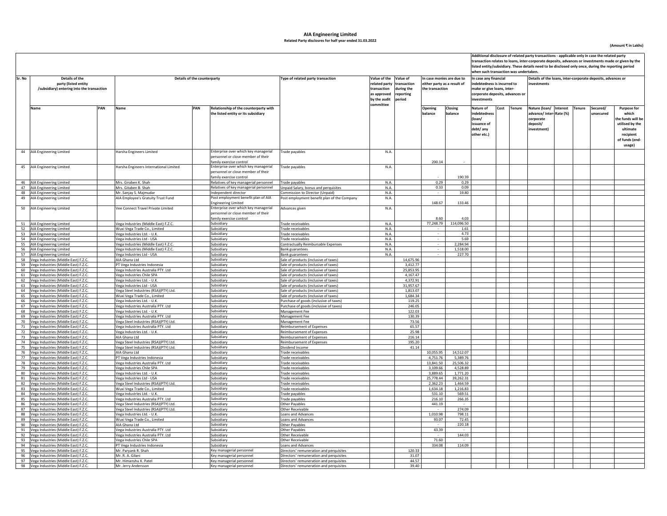### **AIA Engineering Limited Related Party disclosres for half year ended 31.03.2022**

**(Amount ₹ in Lakhs)**

|                                                                                                |                                                                                    |                                                                   |                                                                                                       |                                                                                |                                                                                                                    |                           |                                                                             |                      |                                                                               | Additional disclosure of related party transactions - applicable only in case the related party<br>ransaction relates to loans, inter-corporate deposits, advances or investments made or given by the<br>listed entity/subsidiary. These details need to be disclosed only once, during the reporting period<br>when such transaction was undertaken.<br>In case any financial |                                                                                         |  |        |                       |                                                                                                                          |  |
|------------------------------------------------------------------------------------------------|------------------------------------------------------------------------------------|-------------------------------------------------------------------|-------------------------------------------------------------------------------------------------------|--------------------------------------------------------------------------------|--------------------------------------------------------------------------------------------------------------------|---------------------------|-----------------------------------------------------------------------------|----------------------|-------------------------------------------------------------------------------|---------------------------------------------------------------------------------------------------------------------------------------------------------------------------------------------------------------------------------------------------------------------------------------------------------------------------------------------------------------------------------|-----------------------------------------------------------------------------------------|--|--------|-----------------------|--------------------------------------------------------------------------------------------------------------------------|--|
| Details of the<br>Sr. No<br>party (listed entity<br>/subsidiary) entering into the transaction |                                                                                    | Details of the counterparty                                       |                                                                                                       | Type of related party transaction                                              | Value of the Value of<br>related party<br>transaction<br>as approved reporting<br>by the audit period<br>committee | transaction<br>during the | In case monies are due to<br>either party as a result of<br>the transaction |                      | ndebtedness is incurred to<br>nake or give loans, inter<br>investments        | corporate deposits, advances or                                                                                                                                                                                                                                                                                                                                                 | Details of the loans, inter-corporate deposits, advances or<br>investments              |  |        |                       |                                                                                                                          |  |
|                                                                                                | PAN<br>Name                                                                        | Name                                                              | PAN<br>Relationship of the counterparty with<br>the listed entity or its subsidiary                   |                                                                                |                                                                                                                    |                           | Opening<br>balance                                                          | Closing<br>halance   | Nature of<br>indebtednes<br>(loan/<br>issuance of<br>debt/ any<br>other etc.) | Cost Tenure                                                                                                                                                                                                                                                                                                                                                                     | Nature (loan/ Interest<br>advance/inter-Rate (%)<br>corporate<br>deposit/<br>investment |  | Tenure | Secured/<br>unsecured | <b>Purpose for</b><br>which<br>the funds will be<br>utilised by the<br>ultimate<br>recipient<br>of funds (end-<br>usage) |  |
|                                                                                                | 44 AIA Engineering Limited                                                         | Harsha Engineers Limited                                          | Enterprise over which key managerial<br>personnel or close member of their<br>family exercise control | Trade payables                                                                 | N.A.                                                                                                               |                           | 200.14                                                                      |                      |                                                                               |                                                                                                                                                                                                                                                                                                                                                                                 |                                                                                         |  |        |                       |                                                                                                                          |  |
|                                                                                                | 45 AIA Engineering Limited                                                         | Harsha Engineers International Limited                            | Enterprise over which key managerial<br>personnel or close member of their                            | Trade payables                                                                 | N.A.                                                                                                               |                           |                                                                             | 190.39               |                                                                               |                                                                                                                                                                                                                                                                                                                                                                                 |                                                                                         |  |        |                       |                                                                                                                          |  |
|                                                                                                |                                                                                    |                                                                   | family exercise control                                                                               |                                                                                |                                                                                                                    |                           |                                                                             |                      |                                                                               |                                                                                                                                                                                                                                                                                                                                                                                 |                                                                                         |  |        |                       |                                                                                                                          |  |
|                                                                                                | 46 AIA Engineering Limited                                                         | Mrs. Giraben K. Shah                                              | Relatives of key managerial personnel                                                                 | Trade payables                                                                 | N.A.                                                                                                               |                           | 0.29<br>0.33                                                                | 0.29<br>0.09         |                                                                               |                                                                                                                                                                                                                                                                                                                                                                                 |                                                                                         |  |        |                       |                                                                                                                          |  |
|                                                                                                | 47 AIA Engineering Limited                                                         | Mrs. Gitaben B. Shah<br>Mr. Sanjay S. Majmudar                    | Relatives of key managerial personnel<br>Independent director                                         | Unpaid Salary, bonus and perquisites                                           | N.A.<br>N.A.                                                                                                       |                           |                                                                             | 19.80                |                                                                               |                                                                                                                                                                                                                                                                                                                                                                                 |                                                                                         |  |        |                       |                                                                                                                          |  |
|                                                                                                | 48 AIA Engineering Limited<br>49 AIA Engineering Limited                           | AIA Employee's Gratuity Trust Fund                                | Post employment benefit plan of AIA<br><b>Engineering Limited</b>                                     | Commission to Director (Unpaid)<br>Post employment benefit plan of the Company | N.A.                                                                                                               |                           | $\sim$<br>148.67                                                            | 133.46               |                                                                               |                                                                                                                                                                                                                                                                                                                                                                                 |                                                                                         |  |        |                       |                                                                                                                          |  |
|                                                                                                | 50 AIA Engineering Limited                                                         | Vee Connect Travel Private Limited                                | Enterprise over which key managerial<br>personnel or close member of their<br>family exercise control | Advances given                                                                 | N.A.                                                                                                               |                           | 8.60                                                                        | 4.03                 |                                                                               |                                                                                                                                                                                                                                                                                                                                                                                 |                                                                                         |  |        |                       |                                                                                                                          |  |
|                                                                                                | 51 AIA Engineering Limited                                                         | Vega Industries (Middle East) F.Z.C.                              | Subsidiary                                                                                            | Trade receivables                                                              | N.A.                                                                                                               |                           | 77,248.79                                                                   | 114,096.50           |                                                                               |                                                                                                                                                                                                                                                                                                                                                                                 |                                                                                         |  |        |                       |                                                                                                                          |  |
|                                                                                                | 52 AIA Engineering Limited                                                         | Wuxi Vega Trade Co., Limited                                      | Subsidiary                                                                                            | Trade receivables                                                              | N.A.                                                                                                               |                           |                                                                             | 1.61                 |                                                                               |                                                                                                                                                                                                                                                                                                                                                                                 |                                                                                         |  |        |                       |                                                                                                                          |  |
|                                                                                                | 53 AIA Engineering Limited                                                         | Vega Industries Ltd. - U.K.                                       | Subsidiary                                                                                            | Trade receivables                                                              | N.A.                                                                                                               |                           |                                                                             | 4.73                 |                                                                               |                                                                                                                                                                                                                                                                                                                                                                                 |                                                                                         |  |        |                       |                                                                                                                          |  |
|                                                                                                | 54 AIA Engineering Limited                                                         | Vega Industries Ltd - USA                                         | Subsidiary                                                                                            | Trade receivables                                                              | N.A.                                                                                                               |                           | $\sim$                                                                      | 5.69                 |                                                                               |                                                                                                                                                                                                                                                                                                                                                                                 |                                                                                         |  |        |                       |                                                                                                                          |  |
|                                                                                                | 55 AIA Engineering Limited                                                         | Vega Industries (Middle East) F.Z.C.                              | Subsidiary                                                                                            | Contractually Reimbursable Expenses                                            | N.A.                                                                                                               |                           |                                                                             | 2,284.94             |                                                                               |                                                                                                                                                                                                                                                                                                                                                                                 |                                                                                         |  |        |                       |                                                                                                                          |  |
|                                                                                                | 56 AIA Engineering Limited                                                         | Vega Industries (Middle East) F.Z.C.                              | Subsidiary                                                                                            | <b>Bank guarantees</b>                                                         | N.A.                                                                                                               |                           |                                                                             | 1.518.00             |                                                                               |                                                                                                                                                                                                                                                                                                                                                                                 |                                                                                         |  |        |                       |                                                                                                                          |  |
|                                                                                                | 57 AIA Engineering Limited                                                         | Vega Industries Ltd - USA                                         | Subsidiary                                                                                            | <b>Bank guarantees</b>                                                         | N.A.                                                                                                               |                           | $\sim$                                                                      | 227.70               |                                                                               |                                                                                                                                                                                                                                                                                                                                                                                 |                                                                                         |  |        |                       |                                                                                                                          |  |
|                                                                                                | 58 Vega Industries (Middle East) F.Z.C.                                            | AIA Ghana Ltd                                                     | Subsidiary                                                                                            | Sale of products (inclusive of taxes)                                          |                                                                                                                    | 14,675.96                 |                                                                             |                      |                                                                               |                                                                                                                                                                                                                                                                                                                                                                                 |                                                                                         |  |        |                       |                                                                                                                          |  |
|                                                                                                | 59 Vega Industries (Middle East) F.Z.C.                                            | PT Vega Industries Indonesia                                      | Subsidiary<br>Subsidiary                                                                              | Sale of products (inclusive of taxes)<br>Sale of products (inclusive of taxes) |                                                                                                                    | 3,412.77<br>25,853.95     |                                                                             |                      |                                                                               |                                                                                                                                                                                                                                                                                                                                                                                 |                                                                                         |  |        |                       |                                                                                                                          |  |
|                                                                                                | 60 Vega Industries (Middle East) F.Z.C.                                            | Vega Industries Australia PTY. Ltd                                | Subsidiary                                                                                            |                                                                                |                                                                                                                    | 4,167.47                  |                                                                             |                      |                                                                               |                                                                                                                                                                                                                                                                                                                                                                                 |                                                                                         |  |        |                       |                                                                                                                          |  |
|                                                                                                | 61 Vega Industries (Middle East) F.Z.C<br>62 Vega Industries (Middle East) F.Z.C.  | Vega Industries Chile SPA<br>Vega Industries Ltd. - U.K           | Subsidiary                                                                                            | Sale of products (inclusive of taxes)<br>Sale of products (inclusive of taxes) |                                                                                                                    | 4,372.91                  |                                                                             |                      |                                                                               |                                                                                                                                                                                                                                                                                                                                                                                 |                                                                                         |  |        |                       |                                                                                                                          |  |
|                                                                                                | 63 Vega Industries (Middle East) F.Z.C.                                            | /ega Industries Ltd - USA                                         | Subsidiary                                                                                            | Sale of products (inclusive of taxes)                                          |                                                                                                                    | 31,957.67                 |                                                                             |                      |                                                                               |                                                                                                                                                                                                                                                                                                                                                                                 |                                                                                         |  |        |                       |                                                                                                                          |  |
|                                                                                                | 64 Vega Industries (Middle East) F.Z.C                                             | /ega Steel Industries (RSA)(PTY) Ltd.                             | Subsidiary                                                                                            | Sale of products (inclusive of taxes)                                          |                                                                                                                    | 1,813.07                  |                                                                             |                      |                                                                               |                                                                                                                                                                                                                                                                                                                                                                                 |                                                                                         |  |        |                       |                                                                                                                          |  |
|                                                                                                | 65 Vega Industries (Middle East) F.Z.C.                                            | Nuxi Vega Trade Co., Limited                                      | Subsidiary                                                                                            | Sale of products (inclusive of taxes)                                          |                                                                                                                    | 1,684.34                  |                                                                             |                      |                                                                               |                                                                                                                                                                                                                                                                                                                                                                                 |                                                                                         |  |        |                       |                                                                                                                          |  |
|                                                                                                | 66 Vega Industries (Middle East) F.Z.C.                                            | /ega Industries Ltd. - U.K.                                       | Subsidiary                                                                                            | Purchase of goods (inclusive of taxes)                                         |                                                                                                                    | 119.25                    |                                                                             |                      |                                                                               |                                                                                                                                                                                                                                                                                                                                                                                 |                                                                                         |  |        |                       |                                                                                                                          |  |
|                                                                                                | 67 Vega Industries (Middle East) F.Z.C                                             | /ega Industries Australia PTY. Ltd                                | Subsidiary                                                                                            | Purchase of goods (inclusive of taxes)                                         |                                                                                                                    | 246.05                    |                                                                             |                      |                                                                               |                                                                                                                                                                                                                                                                                                                                                                                 |                                                                                         |  |        |                       |                                                                                                                          |  |
|                                                                                                | 68 Vega Industries (Middle East) F.Z.C.                                            | /ega Industries Ltd. - U.K                                        | Subsidiary                                                                                            | Management Fee                                                                 |                                                                                                                    | 122.03                    |                                                                             |                      |                                                                               |                                                                                                                                                                                                                                                                                                                                                                                 |                                                                                         |  |        |                       |                                                                                                                          |  |
|                                                                                                | 69 Vega Industries (Middle East) F.Z.C.                                            | Vega Industries Australia PTY. Ltd                                | Subsidiary                                                                                            | Management Fee                                                                 |                                                                                                                    | 130.39                    |                                                                             |                      |                                                                               |                                                                                                                                                                                                                                                                                                                                                                                 |                                                                                         |  |        |                       |                                                                                                                          |  |
|                                                                                                | 70 Vega Industries (Middle East) F.Z.C.                                            | Vega Steel Industries (RSA)(PTY) Ltd                              | Subsidiary<br>Subsidiary                                                                              | Management Fee                                                                 |                                                                                                                    | 73.56<br>65.57            |                                                                             |                      |                                                                               |                                                                                                                                                                                                                                                                                                                                                                                 |                                                                                         |  |        |                       |                                                                                                                          |  |
|                                                                                                | 71 Vega Industries (Middle East) F.Z.C<br>72 Vega Industries (Middle East) F.Z.C.  | Vega Industries Australia PTY. Ltd<br>Vega Industries Ltd. - U.K. | Subsidiary                                                                                            | Reimbursement of Expenses<br>Reimbursement of Expenses                         |                                                                                                                    | 25.98                     |                                                                             |                      |                                                                               |                                                                                                                                                                                                                                                                                                                                                                                 |                                                                                         |  |        |                       |                                                                                                                          |  |
|                                                                                                | 73 Vega Industries (Middle East) F.Z.C                                             | AIA Ghana Ltd                                                     | Subsidiary                                                                                            | <b>Reimbursement of Expenses</b>                                               |                                                                                                                    | 216.14                    |                                                                             |                      |                                                                               |                                                                                                                                                                                                                                                                                                                                                                                 |                                                                                         |  |        |                       |                                                                                                                          |  |
|                                                                                                | 74 Vega Industries (Middle East) F.Z.C                                             | Vega Steel Industries (RSA)(PTY) Ltd                              | Subsidiary                                                                                            | <b>Reimbursement of Expenses</b>                                               |                                                                                                                    | 195.20                    |                                                                             |                      |                                                                               |                                                                                                                                                                                                                                                                                                                                                                                 |                                                                                         |  |        |                       |                                                                                                                          |  |
|                                                                                                | 75 Vega Industries (Middle East) F.Z.C                                             | /ega Steel Industries (RSA)(PTY) Ltd.                             | Subsidiary                                                                                            | Dividend Income                                                                |                                                                                                                    | 41.14                     |                                                                             |                      |                                                                               |                                                                                                                                                                                                                                                                                                                                                                                 |                                                                                         |  |        |                       |                                                                                                                          |  |
|                                                                                                | 76 Vega Industries (Middle East) F.Z.C                                             | <b>NA Ghana Ltd</b>                                               | Subsidiary                                                                                            | Trade receivables                                                              |                                                                                                                    |                           | 10,055.95                                                                   | 14,512.07            |                                                                               |                                                                                                                                                                                                                                                                                                                                                                                 |                                                                                         |  |        |                       |                                                                                                                          |  |
|                                                                                                | 77 Vega Industries (Middle East) F.Z.C                                             | PT Vega Industries Indonesia                                      | Subsidiary                                                                                            | Trade receivables                                                              |                                                                                                                    |                           | 4,751.76                                                                    | 5,389.76             |                                                                               |                                                                                                                                                                                                                                                                                                                                                                                 |                                                                                         |  |        |                       |                                                                                                                          |  |
|                                                                                                | 78 Vega Industries (Middle East) F.Z.C.                                            | /ega Industries Australia PTY. Ltd                                | Subsidiary                                                                                            | Trade receivables                                                              |                                                                                                                    |                           | 13,841.50                                                                   | 25.506.32            |                                                                               |                                                                                                                                                                                                                                                                                                                                                                                 |                                                                                         |  |        |                       |                                                                                                                          |  |
|                                                                                                | 79 Vega Industries (Middle East) F.Z.C.                                            | Vega Industries Chile SPA                                         | Subsidiary<br>Subsidiary                                                                              | Trade receivables                                                              |                                                                                                                    |                           | 3,109.66<br>3,889.65                                                        | 4,528.89<br>1,771.20 |                                                                               |                                                                                                                                                                                                                                                                                                                                                                                 |                                                                                         |  |        |                       |                                                                                                                          |  |
|                                                                                                | 80 Vega Industries (Middle East) F.Z.C<br>81 Vega Industries (Middle East) F.Z.C.  | Vega Industries Ltd. - U.K<br>/ega Industries Ltd - USA           | Subsidiary                                                                                            | Trade receivables<br>Trade receivables                                         |                                                                                                                    |                           | 25.778.44                                                                   | 39.262.31            |                                                                               |                                                                                                                                                                                                                                                                                                                                                                                 |                                                                                         |  |        |                       |                                                                                                                          |  |
|                                                                                                | 82 Vega Industries (Middle East) F.Z.C.                                            | Vega Steel Industries (RSA)(PTY) Ltd.                             | Subsidiary                                                                                            | Trade receivables                                                              |                                                                                                                    |                           | 2,362.23                                                                    | 1.464.59             |                                                                               |                                                                                                                                                                                                                                                                                                                                                                                 |                                                                                         |  |        |                       |                                                                                                                          |  |
|                                                                                                | 83 Vega Industries (Middle East) F.Z.C.                                            | Wuxi Vega Trade Co., Limited                                      | Subsidiary                                                                                            | Trade receivables                                                              |                                                                                                                    |                           | 1,634.18                                                                    | 1,216.83             |                                                                               |                                                                                                                                                                                                                                                                                                                                                                                 |                                                                                         |  |        |                       |                                                                                                                          |  |
|                                                                                                | 84 Vega Industries (Middle East) F.Z.C.                                            | Vega Industries Ltd. - U.K.                                       | Subsidiary                                                                                            | Trade payables                                                                 |                                                                                                                    |                           | 531.10                                                                      | 569.51               |                                                                               |                                                                                                                                                                                                                                                                                                                                                                                 |                                                                                         |  |        |                       |                                                                                                                          |  |
|                                                                                                | 85 Vega Industries (Middle East) F.Z.C.                                            | /ega Industries Australia PTY. Ltd                                | Subsidiarv                                                                                            | Trade payables                                                                 |                                                                                                                    |                           | 216.10                                                                      | 266.35               |                                                                               |                                                                                                                                                                                                                                                                                                                                                                                 |                                                                                         |  |        |                       |                                                                                                                          |  |
|                                                                                                | 86 Vega Industries (Middle East) F.Z.C.                                            | Vega Steel Industries (RSA)(PTY) Ltd.                             | Subsidiary                                                                                            | Other Payables                                                                 |                                                                                                                    |                           | 441.19                                                                      |                      |                                                                               |                                                                                                                                                                                                                                                                                                                                                                                 |                                                                                         |  |        |                       |                                                                                                                          |  |
|                                                                                                | 87 Vega Industries (Middle East) F.Z.C.                                            | Vega Steel Industries (RSA)(PTY) Ltd.                             | Subsidiary                                                                                            | Other Receivable                                                               |                                                                                                                    |                           |                                                                             | 274.09               |                                                                               |                                                                                                                                                                                                                                                                                                                                                                                 |                                                                                         |  |        |                       |                                                                                                                          |  |
|                                                                                                | 88 Vega Industries (Middle East) F.Z.C.                                            | /ega Industries Ltd. - U.K.                                       | Subsidiary                                                                                            | Loans and Advances                                                             |                                                                                                                    |                           | 1,010.98                                                                    | 798.11               |                                                                               |                                                                                                                                                                                                                                                                                                                                                                                 |                                                                                         |  |        |                       |                                                                                                                          |  |
|                                                                                                | 89 Vega Industries (Middle East) F.Z.C                                             | Wuxi Vega Trade Co., Limited                                      | Subsidiary                                                                                            | Loans and Advances                                                             |                                                                                                                    |                           | 93.07                                                                       | 72.45                |                                                                               |                                                                                                                                                                                                                                                                                                                                                                                 |                                                                                         |  |        |                       |                                                                                                                          |  |
|                                                                                                | 90 Vega Industries (Middle East) F.Z.C.<br>91 Vega Industries (Middle East) F.Z.C. | AIA Ghana Ltd<br>/ega Industries Australia PTY. Ltd               | Subsidiary<br>Subsidiary                                                                              | Other Payables<br>Other Payables                                               |                                                                                                                    |                           | $\sim$<br>43.39                                                             | 220.18               |                                                                               |                                                                                                                                                                                                                                                                                                                                                                                 |                                                                                         |  |        |                       |                                                                                                                          |  |
|                                                                                                | 92 Vega Industries (Middle East) F.Z.C.                                            | Vega Industries Australia PTY. Ltd                                | Subsidiary                                                                                            | Other Receivable                                                               |                                                                                                                    |                           |                                                                             | 144.03               |                                                                               |                                                                                                                                                                                                                                                                                                                                                                                 |                                                                                         |  |        |                       |                                                                                                                          |  |
|                                                                                                | 93 Vega Industries (Middle East) F.Z.C.                                            | /ega Industries Chile SPA                                         | Subsidiary                                                                                            | <b>Other Receivable</b>                                                        |                                                                                                                    |                           | 71.60                                                                       |                      |                                                                               |                                                                                                                                                                                                                                                                                                                                                                                 |                                                                                         |  |        |                       |                                                                                                                          |  |
|                                                                                                | 94 Vega Industries (Middle East) F.Z.C.                                            | PT Vega Industries Indonesia                                      | Subsidiary                                                                                            | Loans and Advances                                                             |                                                                                                                    |                           | 334.08                                                                      | 114.09               |                                                                               |                                                                                                                                                                                                                                                                                                                                                                                 |                                                                                         |  |        |                       |                                                                                                                          |  |
|                                                                                                | 95 Vega Industries (Middle East) F.Z.C.                                            | Mr. Paryank R. Shah                                               | Key managerial personnel                                                                              | Directors' remuneration and perquisites                                        |                                                                                                                    | 120.33                    |                                                                             |                      |                                                                               |                                                                                                                                                                                                                                                                                                                                                                                 |                                                                                         |  |        |                       |                                                                                                                          |  |
|                                                                                                | 96 Vega Industries (Middle East) F.Z.C.                                            | Mr. R. A. Gilani                                                  | Key managerial personnel                                                                              | Directors' remuneration and perquisites                                        |                                                                                                                    | 31.07                     |                                                                             |                      |                                                                               |                                                                                                                                                                                                                                                                                                                                                                                 |                                                                                         |  |        |                       |                                                                                                                          |  |
|                                                                                                | 97 Vega Industries (Middle East) F.Z.C.                                            | Mr. Himanshu K. Patel                                             | Key managerial personnel                                                                              | Directors' remuneration and perquisites                                        |                                                                                                                    | 44.57                     |                                                                             |                      |                                                                               |                                                                                                                                                                                                                                                                                                                                                                                 |                                                                                         |  |        |                       |                                                                                                                          |  |
|                                                                                                | 98 Vega Industries (Middle East) F.Z.C                                             | Mr. Jerry Andersson                                               | Key managerial personnel                                                                              | Directors' remuneration and perquisites                                        |                                                                                                                    | 39.40                     |                                                                             |                      |                                                                               |                                                                                                                                                                                                                                                                                                                                                                                 |                                                                                         |  |        |                       |                                                                                                                          |  |